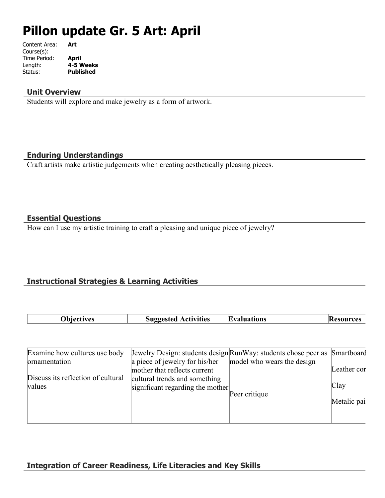# **Pillon update Gr. 5 Art: April**

| Content Area: | Art              |
|---------------|------------------|
| Course(s):    |                  |
| Time Period:  | April            |
| Length:       | 4-5 Weeks        |
| Status:       | <b>Published</b> |

#### **Unit Overview**

Students will explore and make jewelry as a form of artwork.

#### **Enduring Understandings**

Craft artists make artistic judgements when creating aesthetically pleasing pieces.

### **Essential Questions**

How can I use my artistic training to craft a pleasing and unique piece of jewelry?

## **Instructional Strategies & Learning Activities**

| <b>Thiectives</b> | <b>Suggested Activities</b><br>88 | <b>Evaluations</b> | 'ces<br>11 S L |
|-------------------|-----------------------------------|--------------------|----------------|

| Examine how cultures use body      |                                  | Jewelry Design: students design Run Way: students chose peer as Smartboard |             |
|------------------------------------|----------------------------------|----------------------------------------------------------------------------|-------------|
| ornamentation                      | a piece of jewelry for his/her   | model who wears the design                                                 |             |
|                                    | mother that reflects current     |                                                                            | Leather cor |
| Discuss its reflection of cultural | cultural trends and something    |                                                                            |             |
| values                             | significant regarding the mother |                                                                            | Clay        |
|                                    |                                  | Peer critique                                                              |             |
|                                    |                                  |                                                                            | Metalic pai |
|                                    |                                  |                                                                            |             |
|                                    |                                  |                                                                            |             |

## **Integration of Career Readiness, Life Literacies and Key Skills**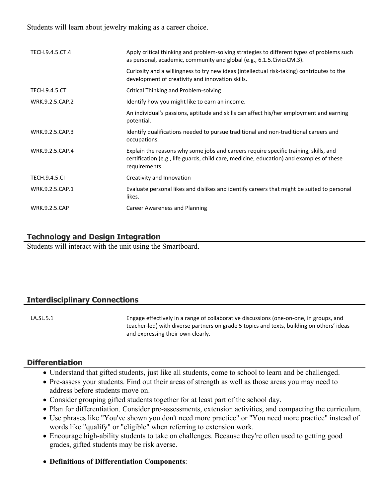Students will learn about jewelry making as a career choice.

| TECH.9.4.5.CT.4      | Apply critical thinking and problem-solving strategies to different types of problems such<br>as personal, academic, community and global (e.g., 6.1.5. Civics CM.3).                             |
|----------------------|---------------------------------------------------------------------------------------------------------------------------------------------------------------------------------------------------|
|                      | Curiosity and a willingness to try new ideas (intellectual risk-taking) contributes to the<br>development of creativity and innovation skills.                                                    |
| <b>TECH.9.4.5.CT</b> | <b>Critical Thinking and Problem-solving</b>                                                                                                                                                      |
| WRK.9.2.5.CAP.2      | Identify how you might like to earn an income.                                                                                                                                                    |
|                      | An individual's passions, aptitude and skills can affect his/her employment and earning<br>potential.                                                                                             |
| WRK.9.2.5.CAP.3      | Identify qualifications needed to pursue traditional and non-traditional careers and<br>occupations.                                                                                              |
| WRK.9.2.5.CAP.4      | Explain the reasons why some jobs and careers require specific training, skills, and<br>certification (e.g., life guards, child care, medicine, education) and examples of these<br>requirements. |
| <b>TECH.9.4.5.CI</b> | Creativity and Innovation                                                                                                                                                                         |
| WRK.9.2.5.CAP.1      | Evaluate personal likes and dislikes and identify careers that might be suited to personal<br>likes.                                                                                              |
| <b>WRK.9.2.5.CAP</b> | Career Awareness and Planning                                                                                                                                                                     |

## **Technology and Design Integration**

Students will interact with the unit using the Smartboard.

## **Interdisciplinary Connections**

LA.SL.5.1 Engage effectively in a range of collaborative discussions (one-on-one, in groups, and teacher-led) with diverse partners on grade 5 topics and texts, building on others' ideas and expressing their own clearly.

#### **Differentiation**

- Understand that gifted students, just like all students, come to school to learn and be challenged.
- Pre-assess your students. Find out their areas of strength as well as those areas you may need to address before students move on.
- Consider grouping gifted students together for at least part of the school day.
- Plan for differentiation. Consider pre-assessments, extension activities, and compacting the curriculum.
- Use phrases like "You've shown you don't need more practice" or "You need more practice" instead of words like "qualify" or "eligible" when referring to extension work.
- Encourage high-ability students to take on challenges. Because they're often used to getting good grades, gifted students may be risk averse.
- **Definitions of Differentiation Components**: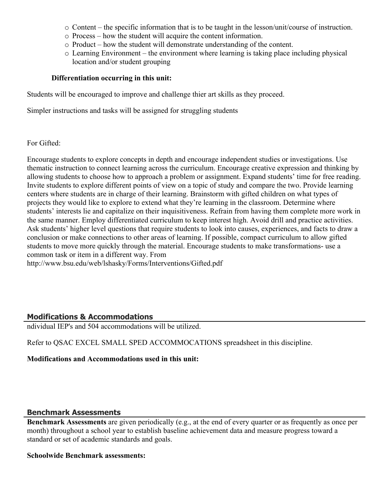- $\circ$  Content the specific information that is to be taught in the lesson/unit/course of instruction.
- o Process how the student will acquire the content information.
- o Product how the student will demonstrate understanding of the content.
- o Learning Environment the environment where learning is taking place including physical location and/or student grouping

#### **Differentiation occurring in this unit:**

Students will be encouraged to improve and challenge thier art skills as they proceed.

Simpler instructions and tasks will be assigned for struggling students

#### For Gifted:

Encourage students to explore concepts in depth and encourage independent studies or investigations. Use thematic instruction to connect learning across the curriculum. Encourage creative expression and thinking by allowing students to choose how to approach a problem or assignment. Expand students' time for free reading. Invite students to explore different points of view on a topic of study and compare the two. Provide learning centers where students are in charge of their learning. Brainstorm with gifted children on what types of projects they would like to explore to extend what they're learning in the classroom. Determine where students' interests lie and capitalize on their inquisitiveness. Refrain from having them complete more work in the same manner. Employ differentiated curriculum to keep interest high. Avoid drill and practice activities. Ask students' higher level questions that require students to look into causes, experiences, and facts to draw a conclusion or make connections to other areas of learning. If possible, compact curriculum to allow gifted students to move more quickly through the material. Encourage students to make transformations- use a common task or item in a different way. From

http://www.bsu.edu/web/lshasky/Forms/Interventions/Gifted.pdf

## **Modifications & Accommodations**

ndividual IEP's and 504 accommodations will be utilized.

Refer to QSAC EXCEL SMALL SPED ACCOMMOCATIONS spreadsheet in this discipline.

#### **Modifications and Accommodations used in this unit:**

## **Benchmark Assessments**

**Benchmark Assessments** are given periodically (e.g., at the end of every quarter or as frequently as once per month) throughout a school year to establish baseline achievement data and measure progress toward a standard or set of academic standards and goals.

#### **Schoolwide Benchmark assessments:**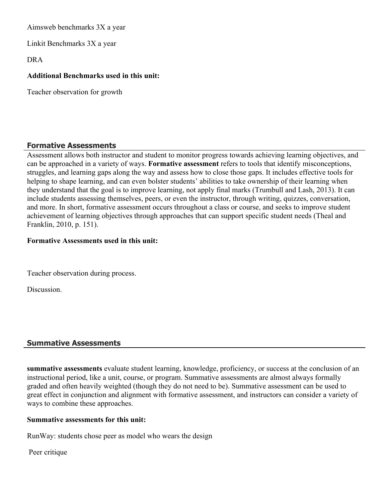Aimsweb benchmarks 3X a year

Linkit Benchmarks 3X a year

DRA

#### **Additional Benchmarks used in this unit:**

Teacher observation for growth

#### **Formative Assessments**

Assessment allows both instructor and student to monitor progress towards achieving learning objectives, and can be approached in a variety of ways. **Formative assessment** refers to tools that identify misconceptions, struggles, and learning gaps along the way and assess how to close those gaps. It includes effective tools for helping to shape learning, and can even bolster students' abilities to take ownership of their learning when they understand that the goal is to improve learning, not apply final marks (Trumbull and Lash, 2013). It can include students assessing themselves, peers, or even the instructor, through writing, quizzes, conversation, and more. In short, formative assessment occurs throughout a class or course, and seeks to improve student achievement of learning objectives through approaches that can support specific student needs (Theal and Franklin, 2010, p. 151).

#### **Formative Assessments used in this unit:**

Teacher observation during process.

**Discussion** 

## **Summative Assessments**

**summative assessments** evaluate student learning, knowledge, proficiency, or success at the conclusion of an instructional period, like a unit, course, or program. Summative assessments are almost always formally graded and often heavily weighted (though they do not need to be). Summative assessment can be used to great effect in conjunction and alignment with formative assessment, and instructors can consider a variety of ways to combine these approaches.

#### **Summative assessments for this unit:**

RunWay: students chose peer as model who wears the design

Peer critique